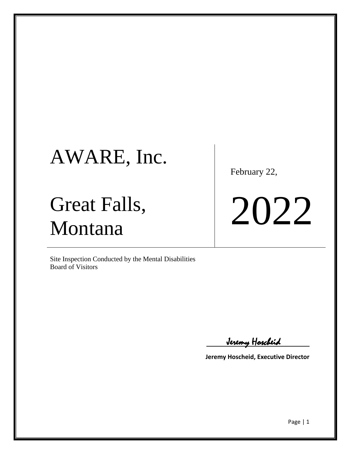# AWARE, Inc.

February 22,

# Great Falls, Montana

2022

Site Inspection Conducted by the Mental Disabilities Board of Visitors

Jeremy Hoscheid

**Jeremy Hoscheid, Executive Director**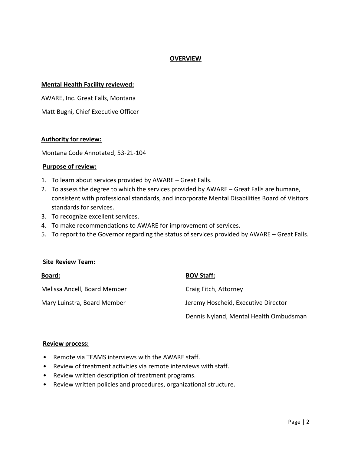## **OVERVIEW**

### **Mental Health Facility reviewed:**

AWARE, Inc. Great Falls, Montana

Matt Bugni, Chief Executive Officer

## **Authority for review:**

Montana Code Annotated, 53-21-104

### **Purpose of review:**

- 1. To learn about services provided by AWARE Great Falls.
- 2. To assess the degree to which the services provided by AWARE Great Falls are humane, consistent with professional standards, and incorporate Mental Disabilities Board of Visitors standards for services.
- 3. To recognize excellent services.
- 4. To make recommendations to AWARE for improvement of services.
- 5. To report to the Governor regarding the status of services provided by AWARE Great Falls.

### **Site Review Team:**

| <u>Board:</u>                | <b>BOV Staff:</b>                      |
|------------------------------|----------------------------------------|
| Melissa Ancell, Board Member | Craig Fitch, Attorney                  |
| Mary Luinstra, Board Member  | Jeremy Hoscheid, Executive Director    |
|                              | Dennis Nyland, Mental Health Ombudsman |

#### **Review process:**

- Remote via TEAMS interviews with the AWARE staff.
- Review of treatment activities via remote interviews with staff.
- Review written description of treatment programs.
- Review written policies and procedures, organizational structure.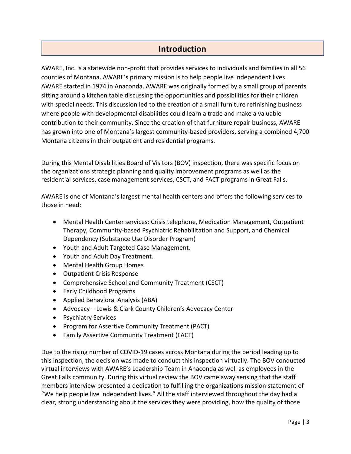## **Introduction**

AWARE, Inc. is a statewide non-profit that provides services to individuals and families in all 56 counties of Montana. AWARE's primary mission is to help people live independent lives. AWARE started in 1974 in Anaconda. AWARE was originally formed by a small group of parents sitting around a kitchen table discussing the opportunities and possibilities for their children with special needs. This discussion led to the creation of a small furniture refinishing business where people with developmental disabilities could learn a trade and make a valuable contribution to their community. Since the creation of that furniture repair business, AWARE has grown into one of Montana's largest community-based providers, serving a combined 4,700 Montana citizens in their outpatient and residential programs.

During this Mental Disabilities Board of Visitors (BOV) inspection, there was specific focus on the organizations strategic planning and quality improvement programs as well as the residential services, case management services, CSCT, and FACT programs in Great Falls.

AWARE is one of Montana's largest mental health centers and offers the following services to those in need:

- Mental Health Center services: Crisis telephone, Medication Management, Outpatient Therapy, Community-based Psychiatric Rehabilitation and Support, and Chemical Dependency (Substance Use Disorder Program)
- Youth and Adult Targeted Case Management.
- Youth and Adult Day Treatment.
- Mental Health Group Homes
- Outpatient Crisis Response
- Comprehensive School and Community Treatment (CSCT)
- Early Childhood Programs
- Applied Behavioral Analysis (ABA)
- Advocacy Lewis & Clark County Children's Advocacy Center
- Psychiatry Services
- Program for Assertive Community Treatment (PACT)
- Family Assertive Community Treatment (FACT)

Due to the rising number of COVID-19 cases across Montana during the period leading up to this inspection, the decision was made to conduct this inspection virtually. The BOV conducted virtual interviews with AWARE's Leadership Team in Anaconda as well as employees in the Great Falls community. During this virtual review the BOV came away sensing that the staff members interview presented a dedication to fulfilling the organizations mission statement of "We help people live independent lives." All the staff interviewed throughout the day had a clear, strong understanding about the services they were providing, how the quality of those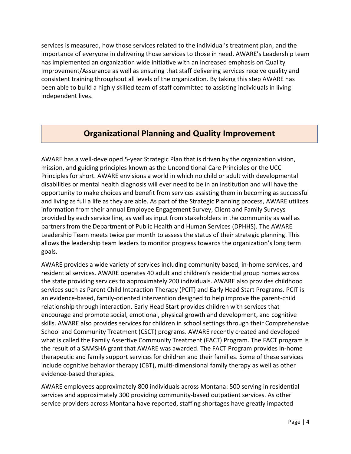services is measured, how those services related to the individual's treatment plan, and the importance of everyone in delivering those services to those in need. AWARE's Leadership team has implemented an organization wide initiative with an increased emphasis on Quality Improvement/Assurance as well as ensuring that staff delivering services receive quality and consistent training throughout all levels of the organization. By taking this step AWARE has been able to build a highly skilled team of staff committed to assisting individuals in living independent lives.

# **Organizational Planning and Quality Improvement**

AWARE has a well-developed 5-year Strategic Plan that is driven by the organization vision, mission, and guiding principles known as the Unconditional Care Principles or the UCC Principles for short. AWARE envisions a world in which no child or adult with developmental disabilities or mental health diagnosis will ever need to be in an institution and will have the opportunity to make choices and benefit from services assisting them in becoming as successful and living as full a life as they are able. As part of the Strategic Planning process, AWARE utilizes information from their annual Employee Engagement Survey, Client and Family Surveys provided by each service line, as well as input from stakeholders in the community as well as partners from the Department of Public Health and Human Services (DPHHS). The AWARE Leadership Team meets twice per month to assess the status of their strategic planning. This allows the leadership team leaders to monitor progress towards the organization's long term goals.

AWARE provides a wide variety of services including community based, in-home services, and residential services. AWARE operates 40 adult and children's residential group homes across the state providing services to approximately 200 individuals. AWARE also provides childhood services such as Parent Child Interaction Therapy (PCIT) and Early Head Start Programs. PCIT is an evidence-based, family-oriented intervention designed to help improve the parent-child relationship through interaction. Early Head Start provides children with services that encourage and promote social, emotional, physical growth and development, and cognitive skills. AWARE also provides services for children in school settings through their Comprehensive School and Community Treatment (CSCT) programs. AWARE recently created and developed what is called the Family Assertive Community Treatment (FACT) Program. The FACT program is the result of a SAMSHA grant that AWARE was awarded. The FACT Program provides in-home therapeutic and family support services for children and their families. Some of these services include cognitive behavior therapy (CBT), multi-dimensional family therapy as well as other evidence-based therapies.

AWARE employees approximately 800 individuals across Montana: 500 serving in residential services and approximately 300 providing community-based outpatient services. As other service providers across Montana have reported, staffing shortages have greatly impacted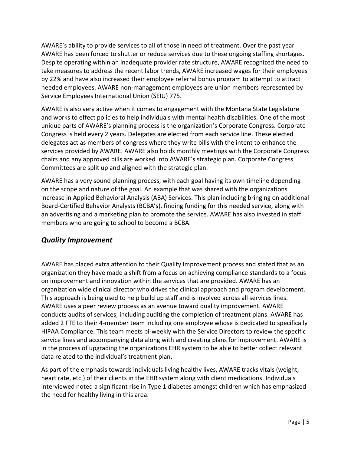AWARE's ability to provide services to all of those in need of treatment. Over the past year AWARE has been forced to shutter or reduce services due to these ongoing staffing shortages. Despite operating within an inadequate provider rate structure, AWARE recognized the need to take measures to address the recent labor trends, AWARE increased wages for their employees by 22% and have also increased their employee referral bonus program to attempt to attract needed employees. AWARE non-management employees are union members represented by Service Employees International Union (SEIU) 775.

AWARE is also very active when it comes to engagement with the Montana State Legislature and works to effect policies to help individuals with mental health disabilities. One of the most unique parts of AWARE's planning process is the organization's Corporate Congress. Corporate Congress is held every 2 years. Delegates are elected from each service line. These elected delegates act as members of congress where they write bills with the intent to enhance the services provided by AWARE. AWARE also holds monthly meetings with the Corporate Congress chairs and any approved bills are worked into AWARE's strategic plan. Corporate Congress Committees are split up and aligned with the strategic plan.

AWARE has a very sound planning process, with each goal having its own timeline depending on the scope and nature of the goal. An example that was shared with the organizations increase in Applied Behavioral Analysis (ABA) Services. This plan including bringing on additional Board-Certified Behavior Analysts (BCBA's), finding funding for this needed service, along with an advertising and a marketing plan to promote the service. AWARE has also invested in staff members who are going to school to become a BCBA.

## *Quality Improvement*

AWARE has placed extra attention to their Quality Improvement process and stated that as an organization they have made a shift from a focus on achieving compliance standards to a focus on improvement and innovation within the services that are provided. AWARE has an organization wide clinical director who drives the clinical approach and program development. This approach is being used to help build up staff and is involved across all services lines. AWARE uses a peer review process as an avenue toward quality improvement. AWARE conducts audits of services, including auditing the completion of treatment plans. AWARE has added 2 FTE to their 4-member team including one employee whose is dedicated to specifically HIPAA Compliance. This team meets bi-weekly with the Service Directors to review the specific service lines and accompanying data along with and creating plans for improvement. AWARE is in the process of upgrading the organizations EHR system to be able to better collect relevant data related to the individual's treatment plan.

As part of the emphasis towards individuals living healthy lives, AWARE tracks vitals (weight, heart rate, etc.) of their clients in the EHR system along with client medications. Individuals interviewed noted a significant rise in Type 1 diabetes amongst children which has emphasized the need for healthy living in this area.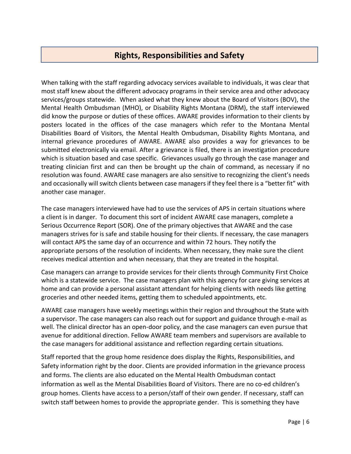# **Rights, Responsibilities and Safety**

When talking with the staff regarding advocacy services available to individuals, it was clear that most staff knew about the different advocacy programs in their service area and other advocacy services/groups statewide. When asked what they knew about the Board of Visitors (BOV), the Mental Health Ombudsman (MHO), or Disability Rights Montana (DRM), the staff interviewed did know the purpose or duties of these offices. AWARE provides information to their clients by posters located in the offices of the case managers which refer to the Montana Mental Disabilities Board of Visitors, the Mental Health Ombudsman, Disability Rights Montana, and internal grievance procedures of AWARE. AWARE also provides a way for grievances to be submitted electronically via email. After a grievance is filed, there is an investigation procedure which is situation based and case specific. Grievances usually go through the case manager and treating clinician first and can then be brought up the chain of command, as necessary if no resolution was found. AWARE case managers are also sensitive to recognizing the client's needs and occasionally will switch clients between case managers if they feel there is a "better fit" with another case manager.

The case managers interviewed have had to use the services of APS in certain situations where a client is in danger. To document this sort of incident AWARE case managers, complete a Serious Occurrence Report (SOR). One of the primary objectives that AWARE and the case managers strives for is safe and stabile housing for their clients. If necessary, the case managers will contact APS the same day of an occurrence and within 72 hours. They notify the appropriate persons of the resolution of incidents. When necessary, they make sure the client receives medical attention and when necessary, that they are treated in the hospital.

Case managers can arrange to provide services for their clients through Community First Choice which is a statewide service. The case managers plan with this agency for care giving services at home and can provide a personal assistant attendant for helping clients with needs like getting groceries and other needed items, getting them to scheduled appointments, etc.

AWARE case managers have weekly meetings within their region and throughout the State with a supervisor. The case managers can also reach out for support and guidance through e-mail as well. The clinical director has an open-door policy, and the case managers can even pursue that avenue for additional direction. Fellow AWARE team members and supervisors are available to the case managers for additional assistance and reflection regarding certain situations.

Staff reported that the group home residence does display the Rights, Responsibilities, and Safety information right by the door. Clients are provided information in the grievance process and forms. The clients are also educated on the Mental Health Ombudsman contact information as well as the Mental Disabilities Board of Visitors. There are no co-ed children's group homes. Clients have access to a person/staff of their own gender. If necessary, staff can switch staff between homes to provide the appropriate gender. This is something they have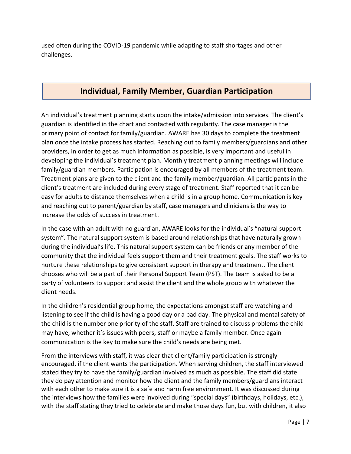used often during the COVID-19 pandemic while adapting to staff shortages and other challenges.

# **Individual, Family Member, Guardian Participation**

An individual's treatment planning starts upon the intake/admission into services. The client's guardian is identified in the chart and contacted with regularity. The case manager is the primary point of contact for family/guardian. AWARE has 30 days to complete the treatment plan once the intake process has started. Reaching out to family members/guardians and other providers, in order to get as much information as possible, is very important and useful in developing the individual's treatment plan. Monthly treatment planning meetings will include family/guardian members. Participation is encouraged by all members of the treatment team. Treatment plans are given to the client and the family member/guardian. All participants in the client's treatment are included during every stage of treatment. Staff reported that it can be easy for adults to distance themselves when a child is in a group home. Communication is key and reaching out to parent/guardian by staff, case managers and clinicians is the way to increase the odds of success in treatment.

In the case with an adult with no guardian, AWARE looks for the individual's "natural support system". The natural support system is based around relationships that have naturally grown during the individual's life. This natural support system can be friends or any member of the community that the individual feels support them and their treatment goals. The staff works to nurture these relationships to give consistent support in therapy and treatment. The client chooses who will be a part of their Personal Support Team (PST). The team is asked to be a party of volunteers to support and assist the client and the whole group with whatever the client needs.

In the children's residential group home, the expectations amongst staff are watching and listening to see if the child is having a good day or a bad day. The physical and mental safety of the child is the number one priority of the staff. Staff are trained to discuss problems the child may have, whether it's issues with peers, staff or maybe a family member. Once again communication is the key to make sure the child's needs are being met.

From the interviews with staff, it was clear that client/family participation is strongly encouraged, if the client wants the participation. When serving children, the staff interviewed stated they try to have the family/guardian involved as much as possible. The staff did state they do pay attention and monitor how the client and the family members/guardians interact with each other to make sure it is a safe and harm free environment. It was discussed during the interviews how the families were involved during "special days" (birthdays, holidays, etc.), with the staff stating they tried to celebrate and make those days fun, but with children, it also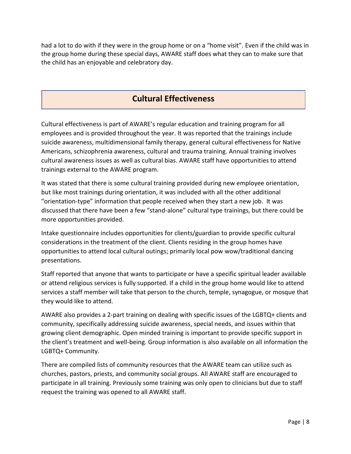had a lot to do with if they were in the group home or on a "home visit". Even if the child was in the group home during these special days, AWARE staff does what they can to make sure that the child has an enjoyable and celebratory day.

# **Cultural Effectiveness**

Cultural effectiveness is part of AWARE's regular education and training program for all employees and is provided throughout the year. It was reported that the trainings include suicide awareness, multidimensional family therapy, general cultural effectiveness for Native Americans, schizophrenia awareness, cultural and trauma training. Annual training involves cultural awareness issues as well as cultural bias. AWARE staff have opportunities to attend trainings external to the AWARE program.

It was stated that there is some cultural training provided during new employee orientation, but like most trainings during orientation, it was included with all the other additional "orientation-type" information that people received when they start a new job. It was discussed that there have been a few "stand-alone" cultural type trainings, but there could be more opportunities provided.

Intake questionnaire includes opportunities for clients/guardian to provide specific cultural considerations in the treatment of the client. Clients residing in the group homes have opportunities to attend local cultural outings; primarily local pow wow/traditional dancing presentations.

Staff reported that anyone that wants to participate or have a specific spiritual leader available or attend religious services is fully supported. If a child in the group home would like to attend services a staff member will take that person to the church, temple, synagogue, or mosque that they would like to attend.

AWARE also provides a 2-part training on dealing with specific issues of the LGBTQ+ clients and community, specifically addressing suicide awareness, special needs, and issues within that growing client demographic. Open minded training is important to provide specific support in the client's treatment and well-being. Group information is also available on all information the LGBTQ+ Community.

There are compiled lists of community resources that the AWARE team can utilize such as churches, pastors, priests, and community social groups. All AWARE staff are encouraged to participate in all training. Previously some training was only open to clinicians but due to staff request the training was opened to all AWARE staff.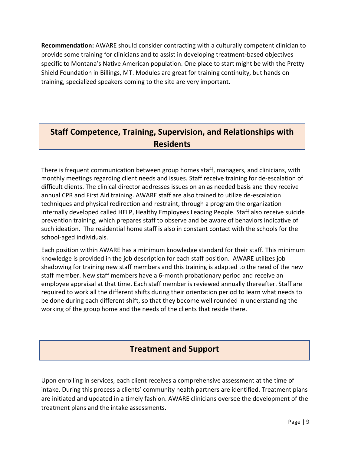**Recommendation:** AWARE should consider contracting with a culturally competent clinician to provide some training for clinicians and to assist in developing treatment-based objectives specific to Montana's Native American population. One place to start might be with the Pretty Shield Foundation in Billings, MT. Modules are great for training continuity, but hands on training, specialized speakers coming to the site are very important.

# **Staff Competence, Training, Supervision, and Relationships with Residents**

There is frequent communication between group homes staff, managers, and clinicians, with monthly meetings regarding client needs and issues. Staff receive training for de-escalation of difficult clients. The clinical director addresses issues on an as needed basis and they receive annual CPR and First Aid training. AWARE staff are also trained to utilize de-escalation techniques and physical redirection and restraint, through a program the organization internally developed called HELP, Healthy Employees Leading People. Staff also receive suicide prevention training, which prepares staff to observe and be aware of behaviors indicative of such ideation. The residential home staff is also in constant contact with the schools for the school-aged individuals.

Each position within AWARE has a minimum knowledge standard for their staff. This minimum knowledge is provided in the job description for each staff position. AWARE utilizes job shadowing for training new staff members and this training is adapted to the need of the new staff member. New staff members have a 6-month probationary period and receive an employee appraisal at that time. Each staff member is reviewed annually thereafter. Staff are required to work all the different shifts during their orientation period to learn what needs to be done during each different shift, so that they become well rounded in understanding the working of the group home and the needs of the clients that reside there.

## **Treatment and Support**

Upon enrolling in services, each client receives a comprehensive assessment at the time of intake. During this process a clients' community health partners are identified. Treatment plans are initiated and updated in a timely fashion. AWARE clinicians oversee the development of the treatment plans and the intake assessments.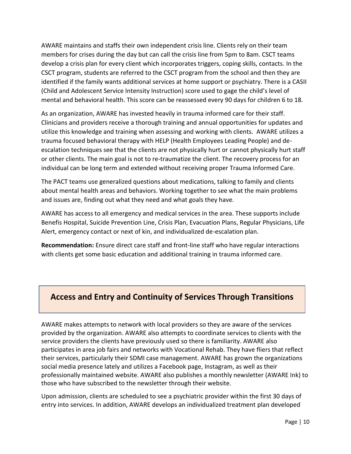AWARE maintains and staffs their own independent crisis line. Clients rely on their team members for crises during the day but can call the crisis line from 5pm to 8am. CSCT teams develop a crisis plan for every client which incorporates triggers, coping skills, contacts. In the CSCT program, students are referred to the CSCT program from the school and then they are identified if the family wants additional services at home support or psychiatry. There is a CASII (Child and Adolescent Service Intensity Instruction) score used to gage the child's level of mental and behavioral health. This score can be reassessed every 90 days for children 6 to 18.

As an organization, AWARE has invested heavily in trauma informed care for their staff. Clinicians and providers receive a thorough training and annual opportunities for updates and utilize this knowledge and training when assessing and working with clients. AWARE utilizes a trauma focused behavioral therapy with HELP (Health Employees Leading People) and deescalation techniques see that the clients are not physically hurt or cannot physically hurt staff or other clients. The main goal is not to re-traumatize the client. The recovery process for an individual can be long term and extended without receiving proper Trauma Informed Care.

The PACT teams use generalized questions about medications, talking to family and clients about mental health areas and behaviors. Working together to see what the main problems and issues are, finding out what they need and what goals they have.

AWARE has access to all emergency and medical services in the area. These supports include Benefis Hospital, Suicide Prevention Line, Crisis Plan, Evacuation Plans, Regular Physicians, Life Alert, emergency contact or next of kin, and individualized de-escalation plan.

**Recommendation:** Ensure direct care staff and front-line staff who have regular interactions with clients get some basic education and additional training in trauma informed care.

## **Access and Entry and Continuity of Services Through Transitions**

AWARE makes attempts to network with local providers so they are aware of the services provided by the organization. AWARE also attempts to coordinate services to clients with the service providers the clients have previously used so there is familiarity. AWARE also participates in area job fairs and networks with Vocational Rehab. They have fliers that reflect their services, particularly their SDMI case management. AWARE has grown the organizations social media presence lately and utilizes a Facebook page, Instagram, as well as their professionally maintained website. AWARE also publishes a monthly newsletter (AWARE Ink) to those who have subscribed to the newsletter through their website.

Upon admission, clients are scheduled to see a psychiatric provider within the first 30 days of entry into services. In addition, AWARE develops an individualized treatment plan developed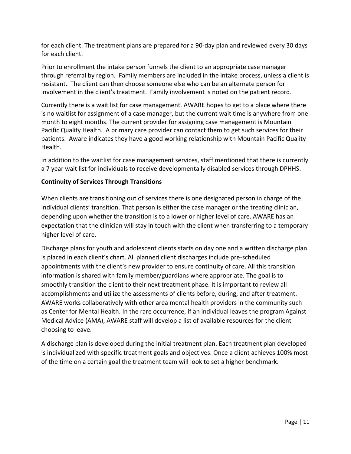for each client. The treatment plans are prepared for a 90-day plan and reviewed every 30 days for each client.

Prior to enrollment the intake person funnels the client to an appropriate case manager through referral by region. Family members are included in the intake process, unless a client is resistant. The client can then choose someone else who can be an alternate person for involvement in the client's treatment. Family involvement is noted on the patient record.

Currently there is a wait list for case management. AWARE hopes to get to a place where there is no waitlist for assignment of a case manager, but the current wait time is anywhere from one month to eight months. The current provider for assigning case management is Mountain Pacific Quality Health. A primary care provider can contact them to get such services for their patients. Aware indicates they have a good working relationship with Mountain Pacific Quality Health.

In addition to the waitlist for case management services, staff mentioned that there is currently a 7 year wait list for individuals to receive developmentally disabled services through DPHHS.

## **Continuity of Services Through Transitions**

When clients are transitioning out of services there is one designated person in charge of the individual clients' transition. That person is either the case manager or the treating clinician, depending upon whether the transition is to a lower or higher level of care. AWARE has an expectation that the clinician will stay in touch with the client when transferring to a temporary higher level of care.

Discharge plans for youth and adolescent clients starts on day one and a written discharge plan is placed in each client's chart. All planned client discharges include pre-scheduled appointments with the client's new provider to ensure continuity of care. All this transition information is shared with family member/guardians where appropriate. The goal is to smoothly transition the client to their next treatment phase. It is important to review all accomplishments and utilize the assessments of clients before, during, and after treatment. AWARE works collaboratively with other area mental health providers in the community such as Center for Mental Health. In the rare occurrence, if an individual leaves the program Against Medical Advice (AMA), AWARE staff will develop a list of available resources for the client choosing to leave.

A discharge plan is developed during the initial treatment plan. Each treatment plan developed is individualized with specific treatment goals and objectives. Once a client achieves 100% most of the time on a certain goal the treatment team will look to set a higher benchmark.